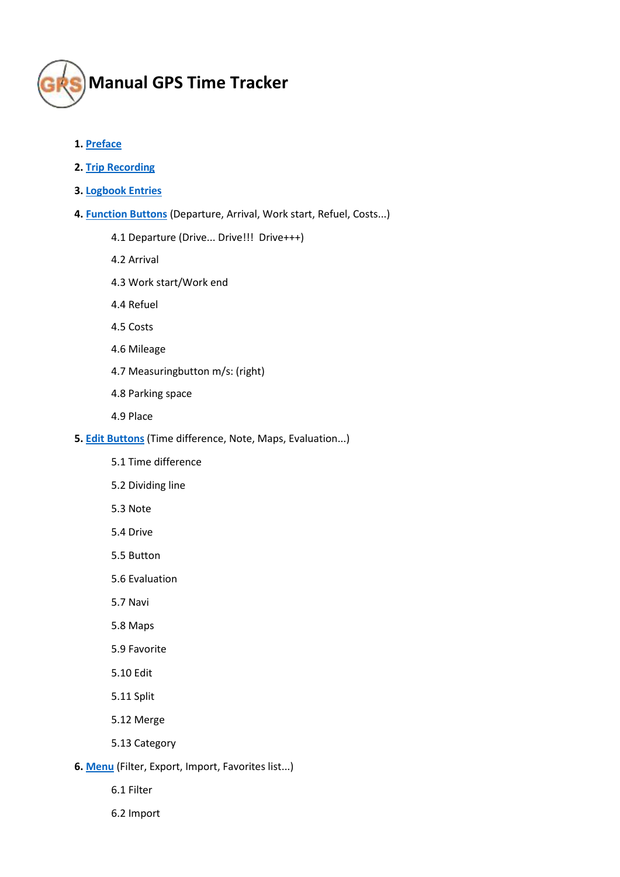

- **1[. Preface](#page-2-0)**
- **2. Trip [Recording](#page-2-1)**
- **3[. Logbook Entries](#page-3-0)**
- **4[. Function Buttons](#page-4-0)** (Departure, Arrival, Work start, Refuel, Costs...)
	- 4.1 Departure (Drive... Drive!!! Drive+++)
	- 4.2 Arrival
	- 4.3 Work start/Work end
	- 4.4 Refuel
	- 4.5 Costs
	- 4.6 Mileage
	- 4.7 Measuringbutton m/s: (right)
	- 4.8 Parking space
	- 4.9 Place
- **5[. Edit Buttons](#page-6-0)** (Time difference, Note, Maps, Evaluation...)
	- 5.1 Time difference
	- 5.2 Dividing line
	- 5.3 Note
	- 5.4 Drive
	- 5.5 Button
	- 5.6 Evaluation
	- 5.7 Navi
	- 5.8 Maps
	- 5.9 Favorite
	- 5.10 Edit
	- 5.11 Split
	- 5.12 Merge
	- 5.13 Category
- **6[. Menu](#page-9-0)** (Filter, Export, Import, Favorites list...)
	- 6.1 Filter
	- 6.2 Import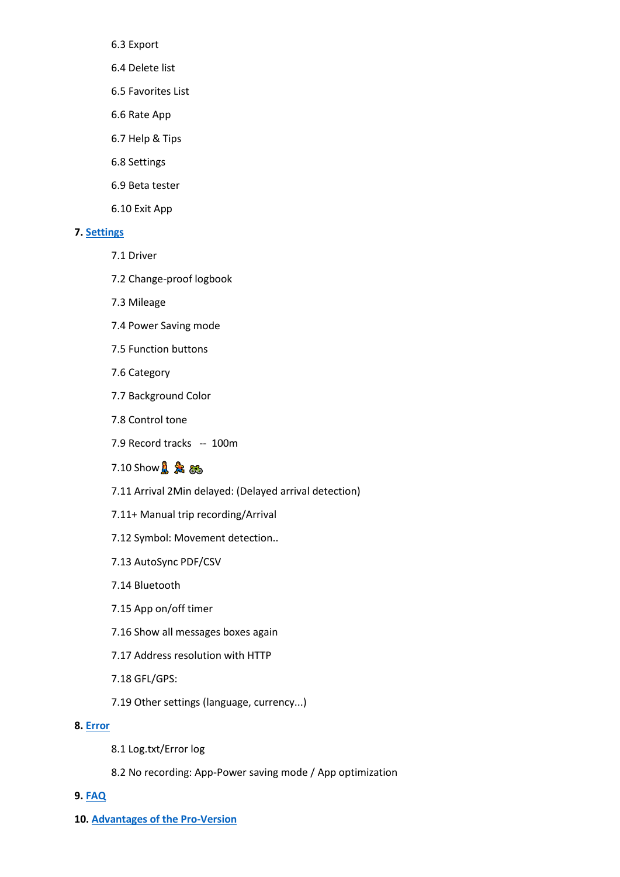6.3 Export

- 6.4 Delete list
- 6.5 Favorites List
- 6.6 Rate App
- 6.7 Help & Tips
- 6.8 Settings
- 6.9 Beta tester
- 6.10 Exit App

### **7[. Settings](#page-12-0)**

- 7.1 Driver
- 7.2 Change-proof logbook
- 7.3 Mileage
- 7.4 Power Saving mode
- 7.5 Function buttons
- 7.6 Category
- 7.7 Background Color
- 7.8 Control tone
- 7.9 Record tracks -- 100m
- $7.10$  Show $\frac{1}{10}$  $\frac{1}{20}$  $\frac{1}{60}$
- 7.11 Arrival 2Min delayed: (Delayed arrival detection)
- 7.11+ Manual trip recording/Arrival
- 7.12 Symbol: Movement detection..
- 7.13 AutoSync PDF/CSV
- 7.14 Bluetooth
- 7.15 App on/off timer
- 7.16 Show all messages boxes again
- 7.17 Address resolution with HTTP
- 7.18 GFL/GPS:
- 7.19 Other settings (language, currency...)

### **8[. Error](#page-15-0)**

- 8.1 Log.txt/Error log
- 8.2 No recording: App-Power saving mode / App optimization

### **9[. FAQ](#page-16-0)**

**10. [Advantages of the Pro-Version](#page-18-0)**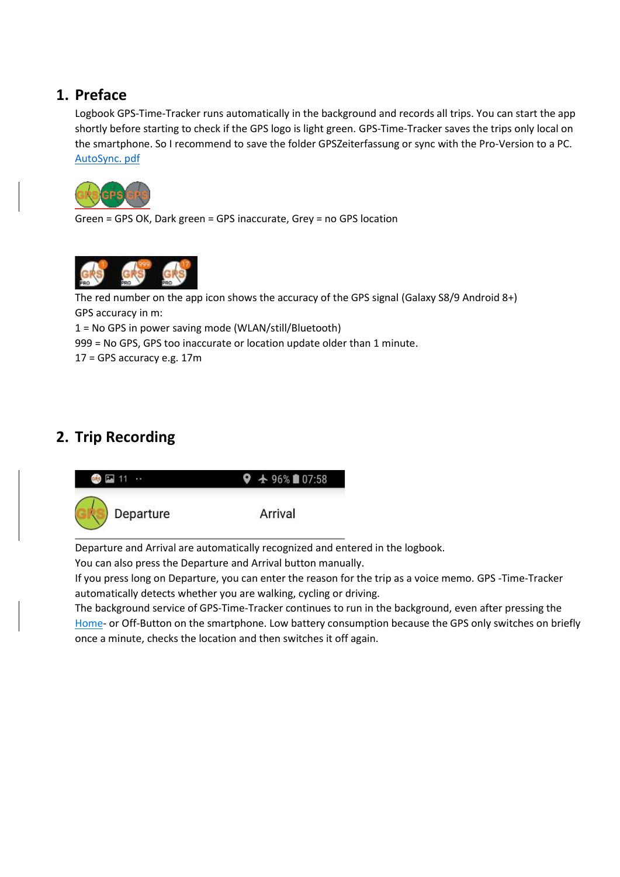# <span id="page-2-0"></span>**1. Preface**

Logbook GPS-Time-Tracker runs automatically in the background and records all trips. You can start the app shortly before starting to check if the GPS logo is light green. GPS-Time-Tracker saves the trips only local on the smartphone. So I recommend to save the folder GPSZeiterfassung or sync with the Pro-Version to a PC. [AutoSync. pdf](http://www.gpszeiterfassung.de/app/download/1301478/AutoSyncEngl.pdf)



Green = GPS OK, Dark green = GPS inaccurate, Grey = no GPS location



The red number on the app icon shows the accuracy of the GPS signal (Galaxy S8/9 Android 8+) GPS accuracy in m:

1 = No GPS in power saving mode (WLAN/still/Bluetooth)

999 = No GPS, GPS too inaccurate or location update older than 1 minute.

17 = GPS accuracy e.g. 17m

# <span id="page-2-1"></span>**2. Trip Recording**



Departure and Arrival are automatically recognized and entered in the logbook.

You can also press the Departure and Arrival button manually.

If you press long on Departure, you can enter the reason for the trip as a voice memo. GPS -Time-Tracker automatically detects whether you are walking, cycling or driving.

The background service of GPS-Time-Tracker continues to run in the background, even after pressing the Home- or Off-Button on the smartphone. Low battery consumption because the GPS only switches on briefly once a minute, checks the location and then switches it off again.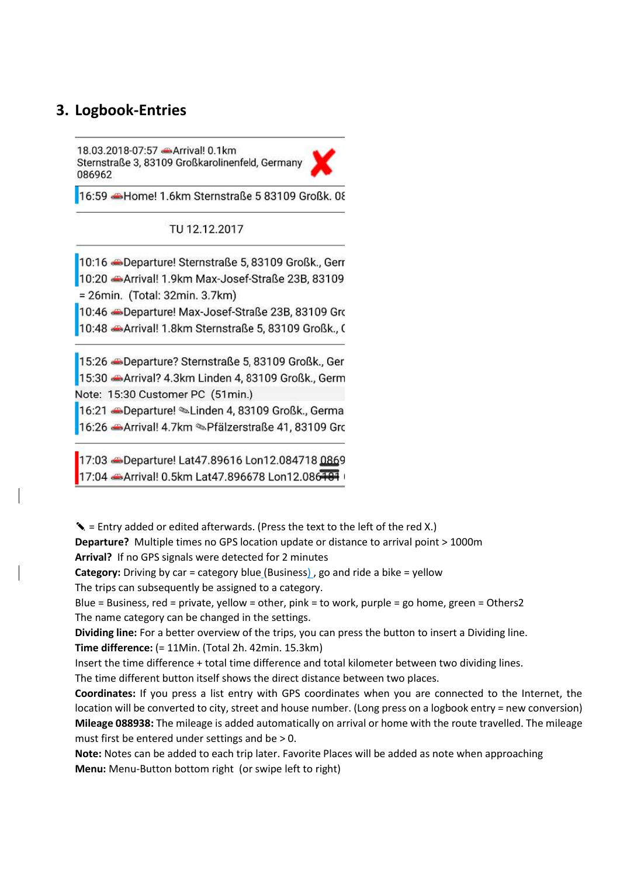### <span id="page-3-0"></span>**3. Logbook-Entries**

18.03.2018-07:57 - Arrival! 0.1km Sternstraße 3, 83109 Großkarolinenfeld, Germany 086962

16:59 Home! 1.6km Sternstraße 5 83109 Großk. 08

TU 12.12.2017

10:16 -Departure! Sternstraße 5, 83109 Großk., Gerr 10:20 Arrival! 1.9km Max-Josef-Straße 23B, 83109 = 26min. (Total: 32min. 3.7km)

10:46 -Departure! Max-Josef-Straße 23B, 83109 Gro 10:48 Arrival! 1.8km Sternstraße 5, 83109 Großk., 0

15:26 Beparture? Sternstraße 5, 83109 Großk., Ger 15:30 Arrival? 4.3km Linden 4, 83109 Großk., Germ Note: 15:30 Customer PC (51min.)

16:21 Departure! Linden 4, 83109 Großk., Germa

16:26 Arrival! 4.7km & Pfälzerstraße 41, 83109 Gro

17:03 Departure! Lat47.89616 Lon12.084718 0869 17:04 Arrival! 0.5km Lat47.896678 Lon12.086181

✎ = Entry added or edited afterwards. (Press the text to the left of the red X.)

**Departure?** Multiple times no GPS location update or distance to arrival point > 1000m

**Arrival?** If no GPS signals were detected for 2 minutes

**Category:** Driving by car = category blue (Business) , go and ride a bike = yellow

The trips can subsequently be assigned to a category.

Blue = Business, red = private, yellow = other, pink = to work, purple = go home, green = Others2 The name category can be changed in the settings.

**Dividing line:** For a better overview of the trips, you can press the button to insert a Dividing line. **Time difference:** (= 11Min. (Total 2h. 42min. 15.3km)

Insert the time difference + total time difference and total kilometer between two dividing lines.

The time different button itself shows the direct distance between two places.

**Coordinates:** If you press a list entry with GPS coordinates when you are connected to the Internet, the location will be converted to city, street and house number. (Long press on a logbook entry = new conversion) **Mileage 088938:** The mileage is added automatically on arrival or home with the route travelled. The mileage must first be entered under settings and be > 0.

**Note:** Notes can be added to each trip later. Favorite Places will be added as note when approaching **Menu:** Menu-Button bottom right (or swipe left to right)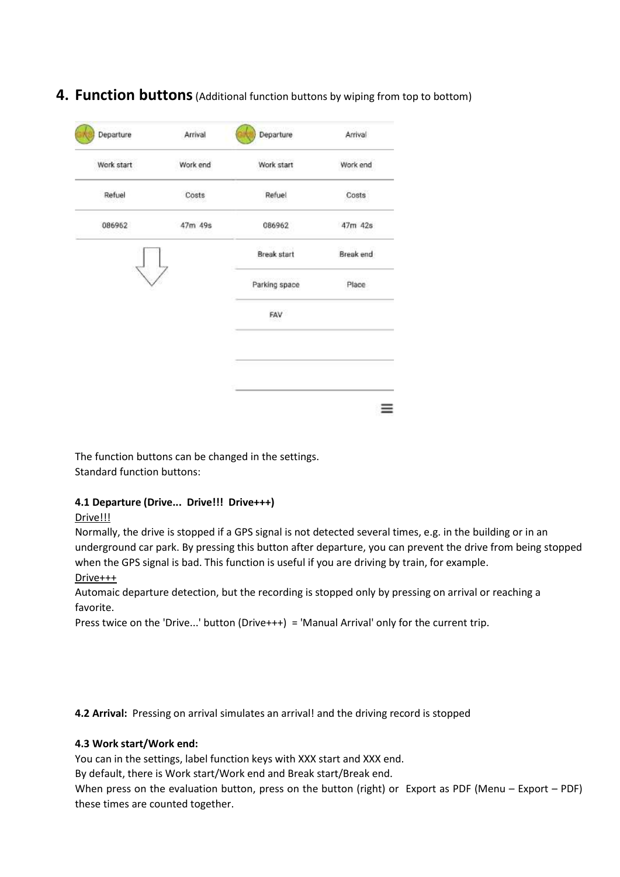# <span id="page-4-0"></span>**4. Function buttons**(Additional function buttons by wiping from top to bottom)

| Departure      | Arrival  | Departure          | Arrival   |
|----------------|----------|--------------------|-----------|
| Work start     | Work end | Work start         | Work end  |
| Refuel<br>- 53 | Costs    | Refuel             | Costs     |
| 086962         | 47m 49s  | 086962             | 47m 42s   |
|                |          | <b>Break start</b> | Break end |
|                |          | Parking space      | Place     |
|                |          | FAV                |           |
|                |          |                    |           |
|                |          |                    |           |

The function buttons can be changed in the settings. Standard function buttons:

### **4.1 Departure (Drive... Drive!!! Drive+++)**

### Drive!!!

Normally, the drive is stopped if a GPS signal is not detected several times, e.g. in the building or in an underground car park. By pressing this button after departure, you can prevent the drive from being stopped when the GPS signal is bad. This function is useful if you are driving by train, for example.

### Drive+++

Automaic departure detection, but the recording is stopped only by pressing on arrival or reaching a favorite.

Press twice on the 'Drive...' button (Drive+++) = 'Manual Arrival' only for the current trip.

**4.2 Arrival:** Pressing on arrival simulates an arrival! and the driving record is stopped

### **4.3 Work start/Work end:**

You can in the settings, label function keys with XXX start and XXX end.

By default, there is Work start/Work end and Break start/Break end.

When press on the evaluation button, press on the button (right) or Export as PDF (Menu – Export – PDF) these times are counted together.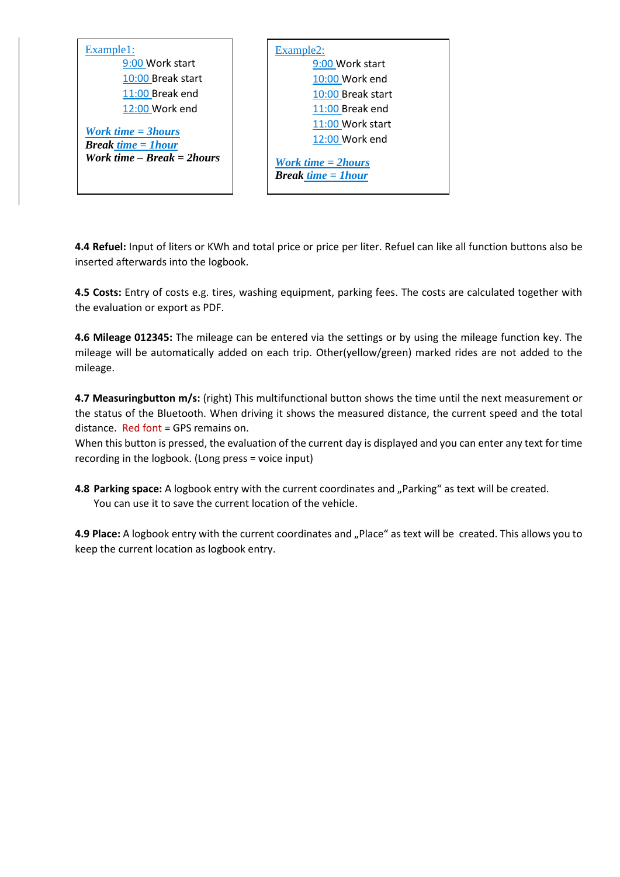| Example1:                                              | Example2:                                                            |
|--------------------------------------------------------|----------------------------------------------------------------------|
| 9:00 Work start                                        | 9:00 Work start                                                      |
| 10:00 Break start                                      | 10:00 Work end                                                       |
| 11:00 Break end                                        | 10:00 Break start                                                    |
| 12:00 Work end                                         | 11:00 Break end                                                      |
|                                                        | 11:00 Work start                                                     |
| <b>Work time = 3hours</b><br><b>Break time = 1hour</b> | 12:00 Work end                                                       |
| Work time $-$ Break $=$ 2 hours                        | <b>Work time <math>= 2</math> hours</b><br><b>Break time = 1hour</b> |

**4.4 Refuel:** Input of liters or KWh and total price or price per liter. Refuel can like all function buttons also be inserted afterwards into the logbook.

**4.5 Costs:** Entry of costs e.g. tires, washing equipment, parking fees. The costs are calculated together with the evaluation or export as PDF.

**4.6 Mileage 012345:** The mileage can be entered via the settings or by using the mileage function key. The mileage will be automatically added on each trip. Other(yellow/green) marked rides are not added to the mileage.

**4.7 Measuringbutton m/s:** (right) This multifunctional button shows the time until the next measurement or the status of the Bluetooth. When driving it shows the measured distance, the current speed and the total distance. Red font = GPS remains on.

When this button is pressed, the evaluation of the current day is displayed and you can enter any text for time recording in the logbook. (Long press = voice input)

**4.8 Parking space:** A logbook entry with the current coordinates and "Parking" as text will be created. You can use it to save the current location of the vehicle.

**4.9 Place:** A logbook entry with the current coordinates and "Place" as text will be created. This allows you to keep the current location as logbook entry.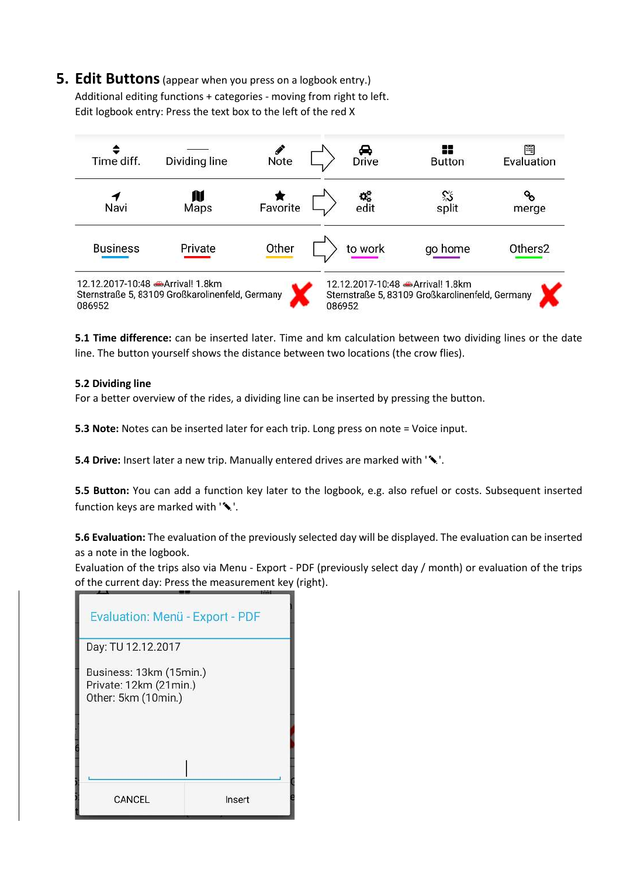<span id="page-6-0"></span>**5. Edit Buttons**(appear when you press on a logbook entry.) Additional editing functions + categories - moving from right to left. Edit logbook entry: Press the text box to the left of the red X

| Time diff.                                | Dividing line                                   | Note     |        | →<br>Drive | x<br><b>Button</b>                                                                 | ≝<br>Evaluation     |
|-------------------------------------------|-------------------------------------------------|----------|--------|------------|------------------------------------------------------------------------------------|---------------------|
| Navi                                      | N<br>Maps                                       | Favorite |        | o,<br>edit | ిన<br>split                                                                        | merge               |
| <b>Business</b>                           | Private                                         | Other    |        | to work    | go home                                                                            | Others <sub>2</sub> |
| 12.12.2017-10:48 Arrival! 1.8km<br>086952 | Sternstraße 5, 83109 Großkarolinenfeld, Germany |          | 086952 |            | 12.12.2017-10:48 Arrival! 1.8km<br>Sternstraße 5, 83109 Großkarolinenfeld, Germany |                     |

**5.1 Time difference:** can be inserted later. Time and km calculation between two dividing lines or the date line. The button yourself shows the distance between two locations (the crow flies).

### **5.2 Dividing line**

For a better overview of the rides, a dividing line can be inserted by pressing the button.

**5.3 Note:** Notes can be inserted later for each trip. Long press on note = Voice input.

**5.4 Drive:** Insert later a new trip. Manually entered drives are marked with '✎'.

**5.5 Button:** You can add a function key later to the logbook, e.g. also refuel or costs. Subsequent inserted function keys are marked with ' $\blacklozenge$ '.

**5.6 Evaluation:** The evaluation of the previously selected day will be displayed. The evaluation can be inserted as a note in the logbook.

Evaluation of the trips also via Menu - Export - PDF (previously select day / month) or evaluation of the trips of the current day: Press the measurement key (right).

| Evaluation: Menü - Export - PDF                                          |        |
|--------------------------------------------------------------------------|--------|
| Day: TU 12.12.2017                                                       |        |
| Business: 13km (15min.)<br>Private: 12km (21min.)<br>Other: 5km (10min.) |        |
|                                                                          |        |
| CANCEL                                                                   | Insert |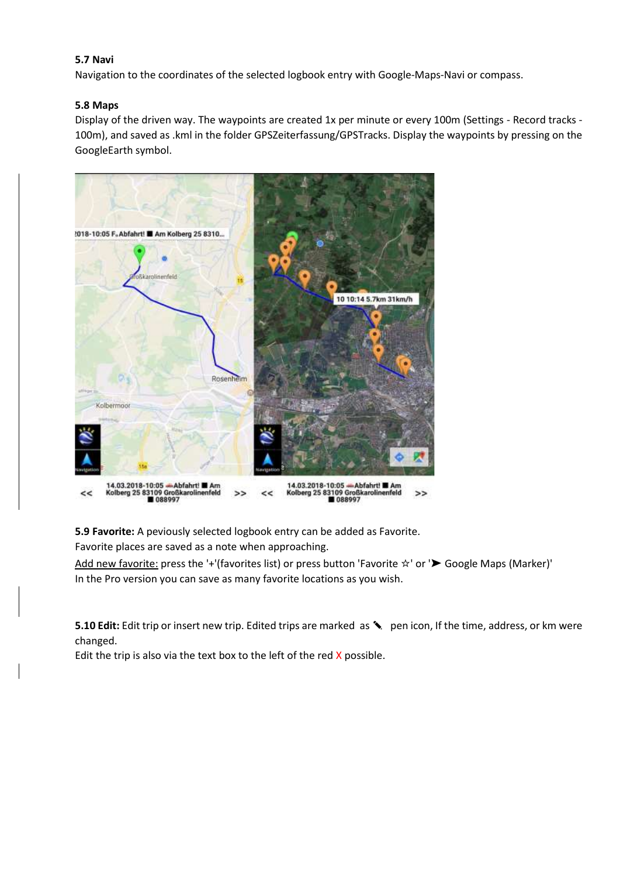### **5.7 Navi**

Navigation to the coordinates of the selected logbook entry with Google-Maps-Navi or compass.

### **5.8 Maps**

Display of the driven way. The waypoints are created 1x per minute or every 100m (Settings - Record tracks - 100m), and saved as .kml in the folder GPSZeiterfassung/GPSTracks. Display the waypoints by pressing on the GoogleEarth symbol.



**5.9 Favorite:** A peviously selected logbook entry can be added as Favorite.

Favorite places are saved as a note when approaching.

Add new favorite: press the '+'(favorites list) or press button 'Favorite ☆' or '➤ Google Maps (Marker)' In the Pro version you can save as many favorite locations as you wish.

**5.10 Edit:** Edit trip or insert new trip. Edited trips are marked as <sup>◆</sup> pen icon, If the time, address, or km were changed.

Edit the trip is also via the text box to the left of the red  $X$  possible.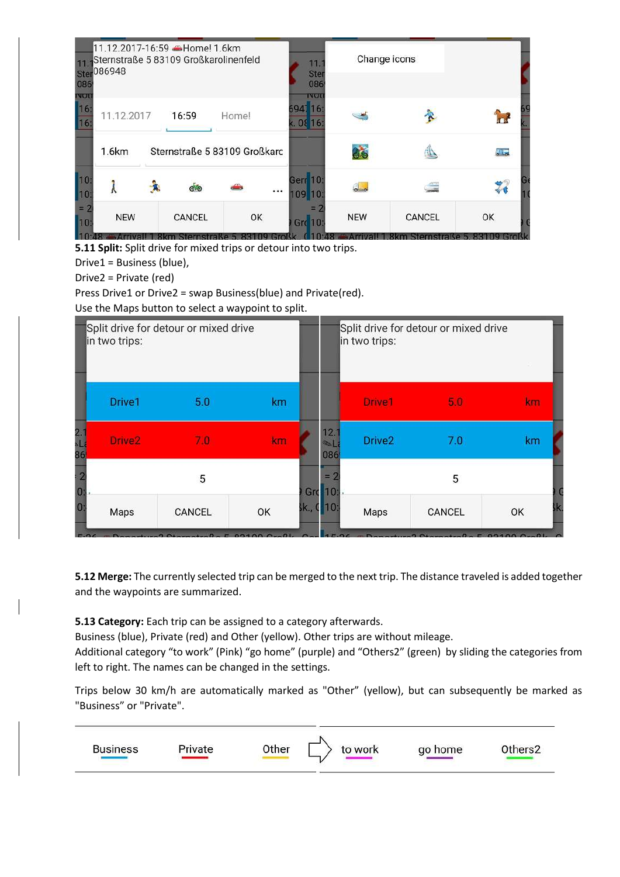| 11<br>086                     | Ster 086948  | 11.12.2017-16:59 -Home! 1.6km<br>Sternstraße 5 83109 Großkarolinenfeld |       | 11.<br><b>Ster</b><br>086           | Change icons |                                                 |          |  |
|-------------------------------|--------------|------------------------------------------------------------------------|-------|-------------------------------------|--------------|-------------------------------------------------|----------|--|
| <b>NOT</b><br>16<br><b>16</b> | 11.12.2017   | 16:59                                                                  | Home! | <b>IVOU</b><br>6947 16:<br>k. 08 16 |              |                                                 |          |  |
|                               | <b>1.6km</b> | Sternstraße 5 83109 Großkarc                                           |       |                                     | <b>CE</b>    |                                                 | $40 - 1$ |  |
| 10<br>10                      |              | ග්ම                                                                    |       | <br>Gerr 10:<br>109 10              |              |                                                 |          |  |
| $= 2$<br>10<br>70.80          | <b>NEW</b>   | CANCEL<br>Application Character La 5,00100 Crafts                      | OK    | Grc 10:<br>10.10                    | <b>NEW</b>   | CANCEL<br>Arthur Hits Olymp, Charles Grant Hall | OK       |  |

**5.11 Split:** Split drive for mixed trips or detour into two trips.

Drive1 = Business (blue),

Drive2 = Private (red)

Press Drive1 or Drive2 = swap Business(blue) and Private(red).

Use the Maps button to select a waypoint to split.



**5.12 Merge:** The currently selected trip can be merged to the next trip. The distance traveled is added together and the waypoints are summarized.

### **5.13 Category:** Each trip can be assigned to a category afterwards.

Business (blue), Private (red) and Other (yellow). Other trips are without mileage.

Additional category "to work" (Pink) "go home" (purple) and "Others2" (green) by sliding the categories from left to right. The names can be changed in the settings.

Trips below 30 km/h are automatically marked as "Other" (yellow), but can subsequently be marked as "Business" or "Private".

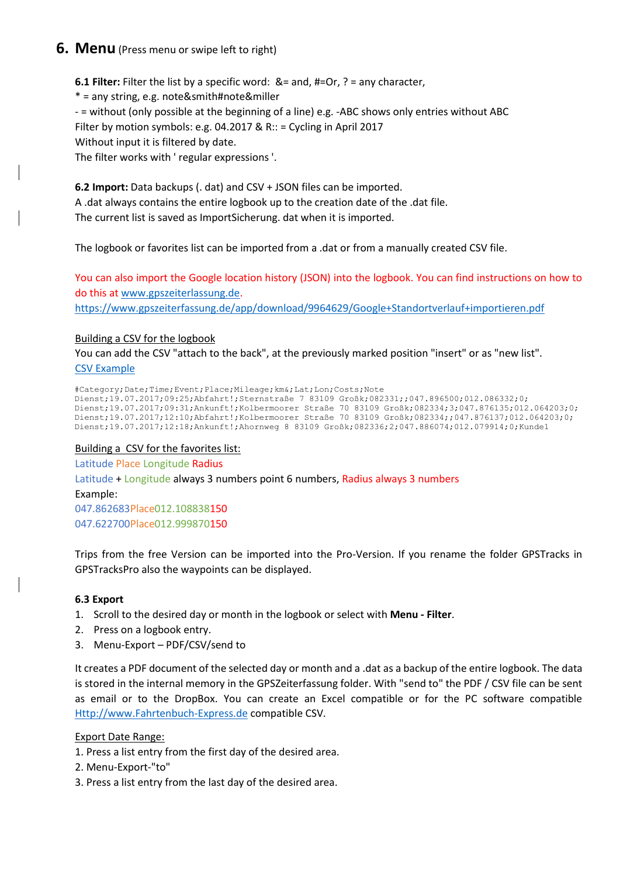### <span id="page-9-0"></span>**6. Menu** (Press menu or swipe left to right)

**6.1 Filter:** Filter the list by a specific word: &= and, #=Or, ? = any character,

\* = any string, e.g. note&smith#note&miller

- = without (only possible at the beginning of a line) e.g. -ABC shows only entries without ABC

Filter by motion symbols: e.g. 04.2017 & R:: = Cycling in April 2017

Without input it is filtered by date.

The filter works with ' regular expressions '.

**6.2 Import:** Data backups (. dat) and CSV + JSON files can be imported. A .dat always contains the entire logbook up to the creation date of the .dat file. The current list is saved as ImportSicherung. dat when it is imported.

The logbook or favorites list can be imported from a .dat or from a manually created CSV file.

You can also import the Google location history (JSON) into the logbook. You can find instructions on how to do this at [www.gpszeiterlassung.de.](http://www.gpszeiterlassung.de/) <https://www.gpszeiterfassung.de/app/download/9964629/Google+Standortverlauf+importieren.pdf>

### Building a CSV for the logbook

You can add the CSV "attach to the back", at the previously marked position "insert" or as "new list". [CSV Example](http://www.gpszeiterfassung.de/app/download/1300673/AutoSync+Fahrtenbuch+Express.csv)

#Category;Date;Time;Event;Place;Mileage;km&;Lat;Lon;Costs;Note Dienst;19.07.2017;09:25;Abfahrt!;Sternstraße 7 83109 Großk;082331;;047.896500;012.086332;0; Dienst;19.07.2017;09:31;Ankunft!;Kolbermoorer Straße 70 83109 Großk;082334;3;047.876135;012.064203;0; Dienst;19.07.2017;12:10;Abfahrt!;Kolbermoorer Straße 70 83109 Großk;082334;;047.876137;012.064203;0; Dienst;19.07.2017;12:18;Ankunft!;Ahornweg 8 83109 Großk;082336;2;047.886074;012.079914;0;Kunde1

### Building a CSV for the favorites list:

Latitude Place Longitude Radius Latitude + Longitude always 3 numbers point 6 numbers, Radius always 3 numbers Example: 047.862683Place012.108838150 047.622700Place012.999870150

Trips from the free Version can be imported into the Pro-Version. If you rename the folder GPSTracks in GPSTracksPro also the waypoints can be displayed.

### **6.3 Export**

- 1. Scroll to the desired day or month in the logbook or select with **Menu - Filter**.
- 2. Press on a logbook entry.
- 3. Menu-Export PDF/CSV/send to

It creates a PDF document of the selected day or month and a .dat as a backup of the entire logbook. The data is stored in the internal memory in the GPSZeiterfassung folder. With "send to" the PDF / CSV file can be sent as email or to the DropBox. You can create an Excel compatible or for the PC software compatible [Http://www.Fahrtenbuch-Express.de](http://www.fahrtenbuch-express.de/) compatible CSV.

### Export Date Range:

- 1. Press a list entry from the first day of the desired area.
- 2. Menu-Export-"to"
- 3. Press a list entry from the last day of the desired area.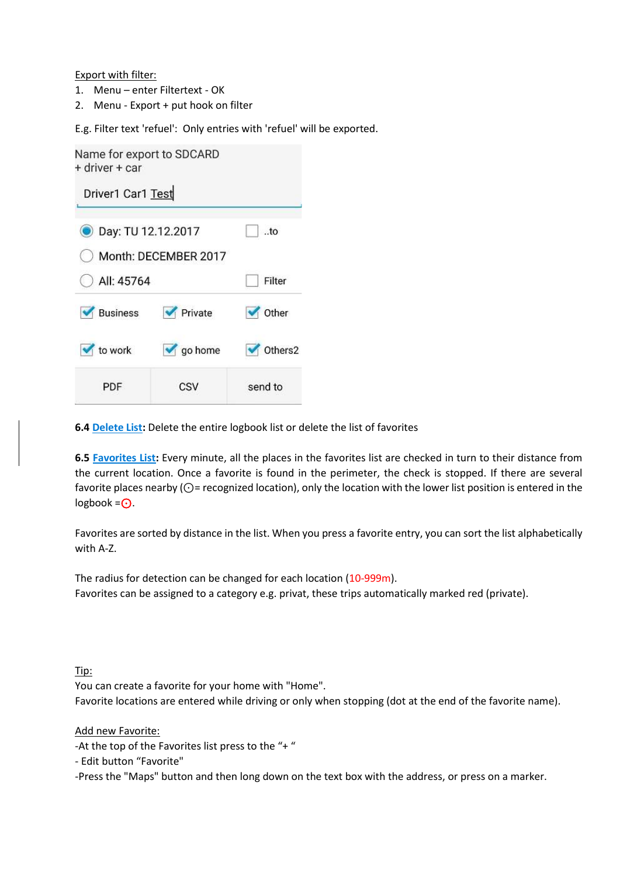Export with filter:

- 1. Menu enter Filtertext OK
- 2. Menu Export + put hook on filter

E.g. Filter text 'refuel': Only entries with 'refuel' will be exported.

| Name for export to SDCARD<br>+ driver + car |                      |                |
|---------------------------------------------|----------------------|----------------|
| Driver1 Car1 Test                           |                      |                |
| Day: TU 12.12.2017                          |                      | $$ to          |
|                                             | Month: DECEMBER 2017 |                |
| All: 45764                                  |                      | Filter         |
| Business                                    | Private              | <b>v</b> Other |
| to work                                     | $\sqrt{g}$ go home   | Others2        |
| PDF                                         | CSV                  | send to        |

**6.4 Delete List:** Delete the entire logbook list or delete the list of favorites

**6.5 Favorites List:** Every minute, all the places in the favorites list are checked in turn to their distance from the current location. Once a favorite is found in the perimeter, the check is stopped. If there are several favorite places nearby ( $\odot$ = recognized location), only the location with the lower list position is entered in the logbook = $\odot$ .

Favorites are sorted by distance in the list. When you press a favorite entry, you can sort the list alphabetically with A-Z.

The radius for detection can be changed for each location (10-999m). Favorites can be assigned to a category e.g. privat, these trips automatically marked red (private).

Tip:

You can create a favorite for your home with "Home".

Favorite locations are entered while driving or only when stopping (dot at the end of the favorite name).

Add new Favorite:

-At the top of the Favorites list press to the "+"

- Edit button "Favorite"

-Press the "Maps" button and then long down on the text box with the address, or press on a marker.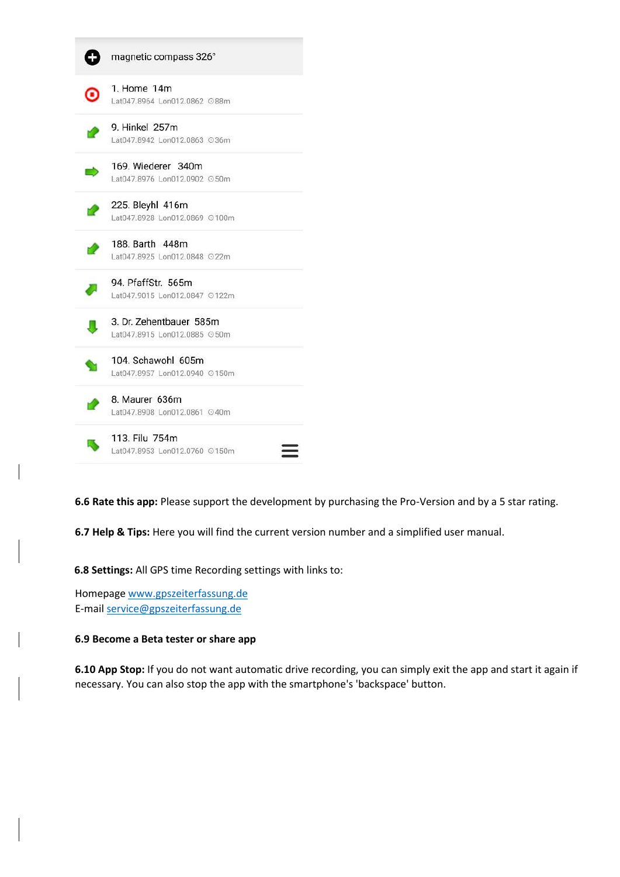|   | magnetic compass 326°                                    |
|---|----------------------------------------------------------|
| Θ | 1. Home 14m<br>Lat047.8964 Lon012.0862 ©88m              |
|   | 9. Hinkel 257m<br>Lat047.8942 Lon012.0863 ©36m           |
|   | 169. Wiederer 340m<br>Lat047.8976 Lon012.0902 ©50m       |
|   | 225. Bleyhl 416m<br>Lat047.8928 Lon012.0869 ©100m        |
|   | 188. Barth 448m<br>Lat047.8925 Lon012.0848 ©22m          |
|   | 94. PfaffStr. 565m<br>Lat047.9015 Lon012.0847 0122m      |
|   | 3. Dr. Zehentbauer 585m<br>Lat047.8915 Lon012.0885 © 50m |
|   | 104. Schawohl 605m<br>Lat047.8957 Lon012.0940 ⊙150m      |
|   | 8. Maurer 636m<br>Lat047.8908 Lon012.0861 040m           |
|   | 113. Filu 754m<br>Lat047.8953 Lon012.0760 ©150m          |

**6.6 Rate this app:** Please support the development by purchasing the Pro-Version and by a 5 star rating.

**6.7 Help & Tips:** Here you will find the current version number and a simplified user manual.

**6.8 Settings:** All GPS time Recording settings with links to:

Homepage [www.gpszeiterfassung.de](http://www.gpszeiterfassung.de/) E-mai[l service@gpszeiterfassung.de](mailto:service@gpszeiterfassung.de)

#### **6.9 Become a Beta tester or share app**

**6.10 App Stop:** If you do not want automatic drive recording, you can simply exit the app and start it again if necessary. You can also stop the app with the smartphone's 'backspace' button.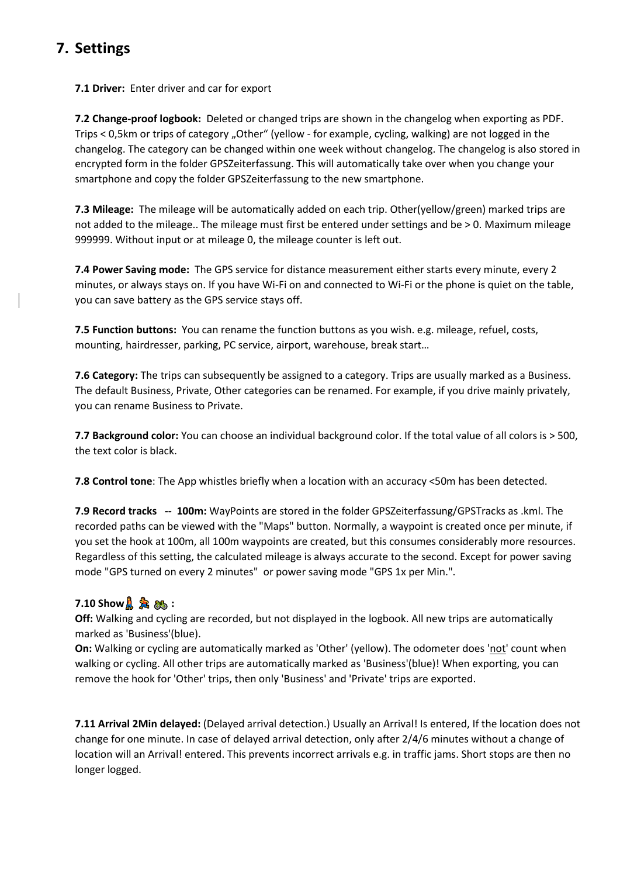# <span id="page-12-0"></span>**7. Settings**

**7.1 Driver:** Enter driver and car for export

**7.2 Change-proof logbook:** Deleted or changed trips are shown in the changelog when exporting as PDF. Trips < 0,5km or trips of category "Other" (yellow - for example, cycling, walking) are not logged in the changelog. The category can be changed within one week without changelog. The changelog is also stored in encrypted form in the folder GPSZeiterfassung. This will automatically take over when you change your smartphone and copy the folder GPSZeiterfassung to the new smartphone.

**7.3 Mileage:** The mileage will be automatically added on each trip. Other(yellow/green) marked trips are not added to the mileage.. The mileage must first be entered under settings and be > 0. Maximum mileage 999999. Without input or at mileage 0, the mileage counter is left out.

**7.4 Power Saving mode:** The GPS service for distance measurement either starts every minute, every 2 minutes, or always stays on. If you have Wi-Fi on and connected to Wi-Fi or the phone is quiet on the table, you can save battery as the GPS service stays off.

**7.5 Function buttons:** You can rename the function buttons as you wish. e.g. mileage, refuel, costs, mounting, hairdresser, parking, PC service, airport, warehouse, break start…

**7.6 Category:** The trips can subsequently be assigned to a category. Trips are usually marked as a Business. The default Business, Private, Other categories can be renamed. For example, if you drive mainly privately, you can rename Business to Private.

**7.7 Background color:** You can choose an individual background color. If the total value of all colors is > 500, the text color is black.

**7.8 Control tone**: The App whistles briefly when a location with an accuracy <50m has been detected.

**7.9 Record tracks -- 100m:** WayPoints are stored in the folder GPSZeiterfassung/GPSTracks as .kml. The recorded paths can be viewed with the "Maps" button. Normally, a waypoint is created once per minute, if you set the hook at 100m, all 100m waypoints are created, but this consumes considerably more resources. Regardless of this setting, the calculated mileage is always accurate to the second. Except for power saving mode "GPS turned on every 2 minutes" or power saving mode "GPS 1x per Min.".

### **7.10 Show :**

**Off:** Walking and cycling are recorded, but not displayed in the logbook. All new trips are automatically marked as 'Business'(blue).

**On:** Walking or cycling are automatically marked as 'Other' (yellow). The odometer does 'not' count when walking or cycling. All other trips are automatically marked as 'Business'(blue)! When exporting, you can remove the hook for 'Other' trips, then only 'Business' and 'Private' trips are exported.

**7.11 Arrival 2Min delayed:** (Delayed arrival detection.) Usually an Arrival! Is entered, If the location does not change for one minute. In case of delayed arrival detection, only after 2/4/6 minutes without a change of location will an Arrival! entered. This prevents incorrect arrivals e.g. in traffic jams. Short stops are then no longer logged.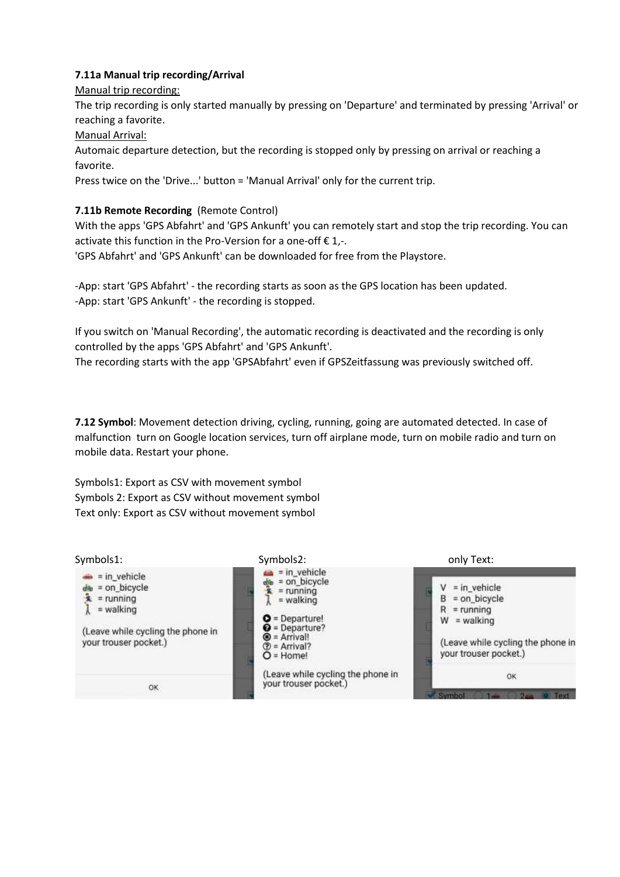### **7.11a Manual trip recording/Arrival**

Manual trip recording:

The trip recording is only started manually by pressing on 'Departure' and terminated by pressing 'Arrival' or reaching a favorite.

Manual Arrival:

Automaic departure detection, but the recording is stopped only by pressing on arrival or reaching a favorite.

Press twice on the 'Drive...' button = 'Manual Arrival' only for the current trip.

### **7.11b Remote Recording** (Remote Control)

With the apps 'GPS Abfahrt' and 'GPS Ankunft' you can remotely start and stop the trip recording. You can activate this function in the Pro-Version for a one-off  $\epsilon$  1,-.

'GPS Abfahrt' and 'GPS Ankunft' can be downloaded for free from the Playstore.

-App: start 'GPS Abfahrt' - the recording starts as soon as the GPS location has been updated. -App: start 'GPS Ankunft' - the recording is stopped.

If you switch on 'Manual Recording', the automatic recording is deactivated and the recording is only controlled by the apps 'GPS Abfahrt' and 'GPS Ankunft'.

The recording starts with the app 'GPSAbfahrt' even if GPSZeitfassung was previously switched off.

**7.12 Symbol**: Movement detection driving, cycling, running, going are automated detected. In case of malfunction turn on Google location services, turn off airplane mode, turn on mobile radio and turn on mobile data. Restart your phone.

Symbols1: Export as CSV with movement symbol Symbols 2: Export as CSV without movement symbol Text only: Export as CSV without movement symbol

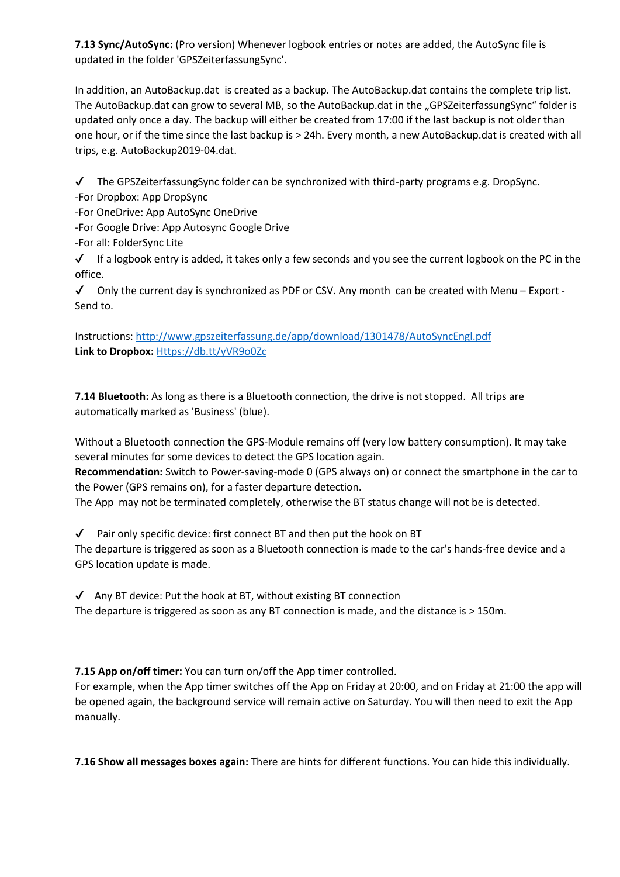**7.13 Sync/AutoSync:** (Pro version) Whenever logbook entries or notes are added, the AutoSync file is updated in the folder 'GPSZeiterfassungSync'.

In addition, an AutoBackup.dat is created as a backup. The AutoBackup.dat contains the complete trip list. The AutoBackup.dat can grow to several MB, so the AutoBackup.dat in the "GPSZeiterfassungSync" folder is updated only once a day. The backup will either be created from 17:00 if the last backup is not older than one hour, or if the time since the last backup is > 24h. Every month, a new AutoBackup.dat is created with all trips, e.g. AutoBackup2019-04.dat.

 $\checkmark$  The GPSZeiterfassungSync folder can be synchronized with third-party programs e.g. DropSync.

- -For Dropbox: App DropSync
- -For OneDrive: App AutoSync OneDrive
- -For Google Drive: App Autosync Google Drive
- -For all: FolderSync Lite

 $\checkmark$  If a logbook entry is added, it takes only a few seconds and you see the current logbook on the PC in the office.

 $\checkmark$  Only the current day is synchronized as PDF or CSV. Any month can be created with Menu – Export -Send to.

Instructions:<http://www.gpszeiterfassung.de/app/download/1301478/AutoSyncEngl.pdf> **Link to Dropbox:** [Https://db.tt/yVR9o0Zc](https://db.tt/yVR9o0Zc)

**7.14 Bluetooth:** As long as there is a Bluetooth connection, the drive is not stopped. All trips are automatically marked as 'Business' (blue).

Without a Bluetooth connection the GPS-Module remains off (very low battery consumption). It may take several minutes for some devices to detect the GPS location again.

**Recommendation:** Switch to Power-saving-mode 0 (GPS always on) or connect the smartphone in the car to the Power (GPS remains on), for a faster departure detection.

The App may not be terminated completely, otherwise the BT status change will not be is detected.

 $\sqrt{\phantom{a}}$  Pair only specific device: first connect BT and then put the hook on BT The departure is triggered as soon as a Bluetooth connection is made to the car's hands-free device and a GPS location update is made.

 $\sqrt{ }$  Any BT device: Put the hook at BT, without existing BT connection The departure is triggered as soon as any BT connection is made, and the distance is > 150m.

**7.15 App on/off timer:** You can turn on/off the App timer controlled.

For example, when the App timer switches off the App on Friday at 20:00, and on Friday at 21:00 the app will be opened again, the background service will remain active on Saturday. You will then need to exit the App manually.

**7.16 Show all messages boxes again:** There are hints for different functions. You can hide this individually.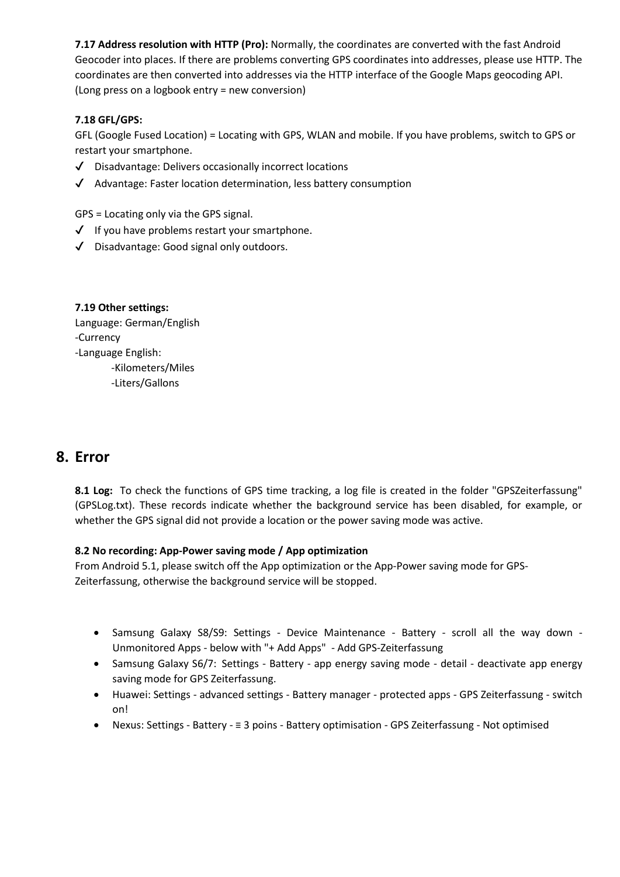**7.17 Address resolution with HTTP (Pro):** Normally, the coordinates are converted with the fast Android Geocoder into places. If there are problems converting GPS coordinates into addresses, please use HTTP. The coordinates are then converted into addresses via the HTTP interface of the Google Maps geocoding API. (Long press on a logbook entry = new conversion)

### **7.18 GFL/GPS:**

GFL (Google Fused Location) = Locating with GPS, WLAN and mobile. If you have problems, switch to GPS or restart your smartphone.

- ✔ Disadvantage: Delivers occasionally incorrect locations
- ✔ Advantage: Faster location determination, less battery consumption

GPS = Locating only via the GPS signal.

- $\checkmark$  If you have problems restart your smartphone.
- ✔ Disadvantage: Good signal only outdoors.

### **7.19 Other settings:** Language: German/English -Currency -Language English: -Kilometers/Miles

-Liters/Gallons

## <span id="page-15-0"></span>**8. Error**

**8.1 Log:** To check the functions of GPS time tracking, a log file is created in the folder "GPSZeiterfassung" (GPSLog.txt). These records indicate whether the background service has been disabled, for example, or whether the GPS signal did not provide a location or the power saving mode was active.

### **8.2 No recording: App-Power saving mode / App optimization**

From Android 5.1, please switch off the App optimization or the App-Power saving mode for GPS-Zeiterfassung, otherwise the background service will be stopped.

- Samsung Galaxy S8/S9: Settings Device Maintenance Battery scroll all the way down Unmonitored Apps - below with "+ Add Apps" - Add GPS-Zeiterfassung
- Samsung Galaxy S6/7: Settings Battery app energy saving mode detail deactivate app energy saving mode for GPS Zeiterfassung.
- Huawei: Settings advanced settings Battery manager protected apps GPS Zeiterfassung switch on!
- Nexus: Settings Battery ≡ 3 poins Battery optimisation GPS Zeiterfassung Not optimised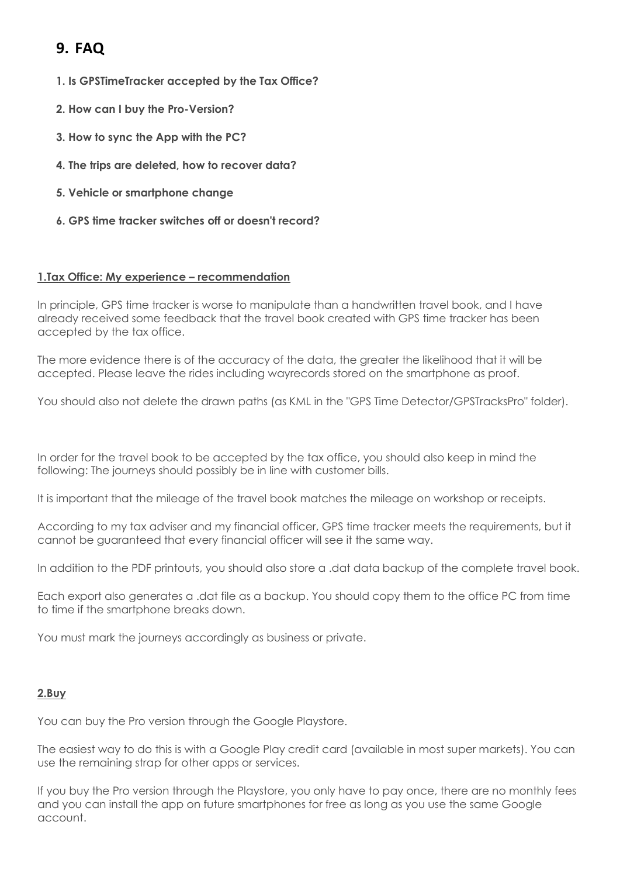# <span id="page-16-0"></span>**9. FAQ**

- **1. Is GPSTimeTracker accepted by the Tax Office?**
- **2. How can I buy the Pro-Version?**
- **3. How to sync the App with the PC?**
- **4. The trips are deleted, how to recover data?**
- **5. Vehicle or smartphone change**
- **6. GPS time tracker switches off or doesn't record?**

### **1.Tax Office: My experience – recommendation**

In principle, GPS time tracker is worse to manipulate than a handwritten travel book, and I have already received some feedback that the travel book created with GPS time tracker has been accepted by the tax office.

The more evidence there is of the accuracy of the data, the greater the likelihood that it will be accepted. Please leave the rides including wayrecords stored on the smartphone as proof.

You should also not delete the drawn paths (as KML in the "GPS Time Detector/GPSTracksPro" folder).

In order for the travel book to be accepted by the tax office, you should also keep in mind the following: The journeys should possibly be in line with customer bills.

It is important that the mileage of the travel book matches the mileage on workshop or receipts.

According to my tax adviser and my financial officer, GPS time tracker meets the requirements, but it cannot be guaranteed that every financial officer will see it the same way.

In addition to the PDF printouts, you should also store a .dat data backup of the complete travel book.

Each export also generates a .dat file as a backup. You should copy them to the office PC from time to time if the smartphone breaks down.

You must mark the journeys accordingly as business or private.

### **2.Buy**

You can buy the Pro version through the Google Playstore.

The easiest way to do this is with a Google Play credit card (available in most super markets). You can use the remaining strap for other apps or services.

If you buy the Pro version through the Playstore, you only have to pay once, there are no monthly fees and you can install the app on future smartphones for free as long as you use the same Google account.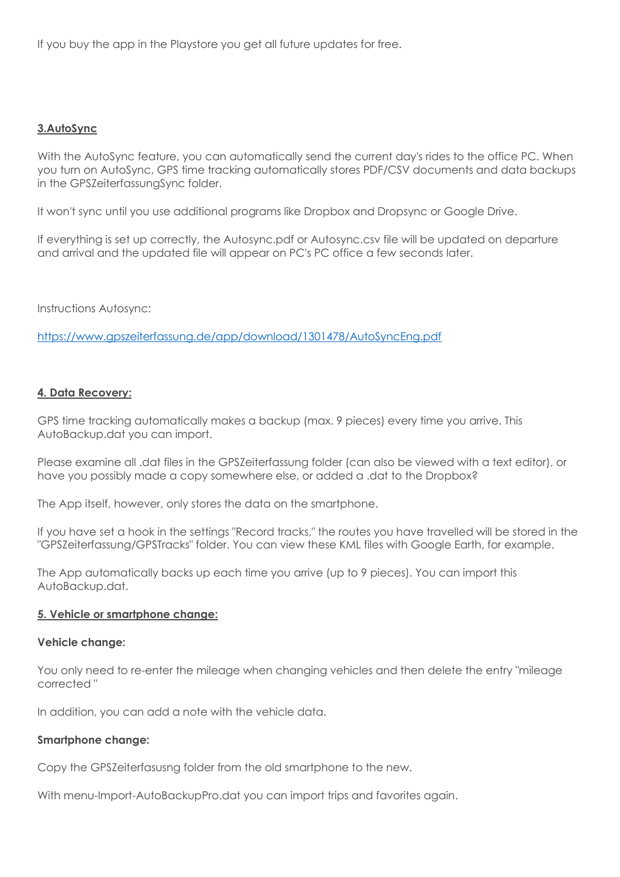If you buy the app in the Playstore you get all future updates for free.

### **3.AutoSync**

With the AutoSync feature, you can automatically send the current day's rides to the office PC. When you turn on AutoSync, GPS time tracking automatically stores PDF/CSV documents and data backups in the GPSZeiterfassungSync folder.

It won't sync until you use additional programs like Dropbox and Dropsync or Google Drive.

If everything is set up correctly, the Autosync.pdf or Autosync.csv file will be updated on departure and arrival and the updated file will appear on PC's PC office a few seconds later.

Instructions Autosync:

<https://www.gpszeiterfassung.de/app/download/1301478/AutoSyncEng.pdf>

### **4. Data Recovery:**

GPS time tracking automatically makes a backup (max. 9 pieces) every time you arrive. This AutoBackup.dat you can import.

Please examine all .dat files in the GPSZeiterfassung folder (can also be viewed with a text editor), or have you possibly made a copy somewhere else, or added a .dat to the Dropbox?

The App itself, however, only stores the data on the smartphone.

If you have set a hook in the settings "Record tracks," the routes you have travelled will be stored in the "GPSZeiterfassung/GPSTracks" folder. You can view these KML files with Google Earth, for example.

The App automatically backs up each time you arrive (up to 9 pieces). You can import this AutoBackup.dat.

### **5. Vehicle or smartphone change:**

#### **Vehicle change:**

You only need to re-enter the mileage when changing vehicles and then delete the entry "mileage corrected "

In addition, you can add a note with the vehicle data.

#### **Smartphone change:**

Copy the GPSZeiterfasusng folder from the old smartphone to the new.

With menu-Import-AutoBackupPro.dat you can import trips and favorites again.